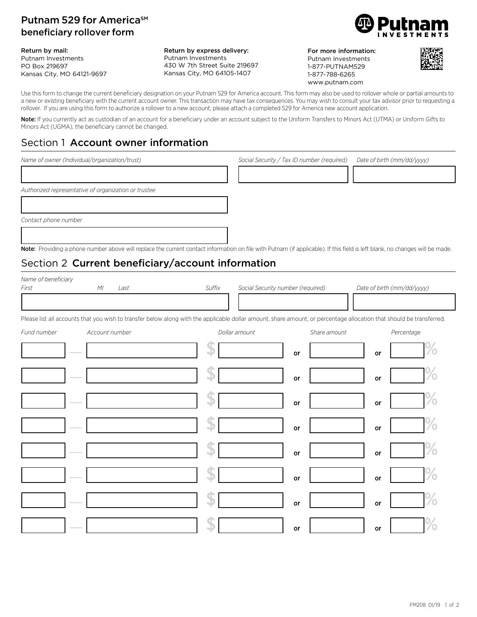#### Putnam 529 for America<sup>SM</sup> beneficiary rollover form

Return by mail: Putnam Investments PO Box 219697 Kansas City, MO 64121-9697

Return by express delivery: Putnam Investments 430 W 7th Street Suite 219697 Kansas City, MO 64105-1407

For more information: Putnam Investments 1-877-PUTNAM529 1-877-788-6265 www.putnam.com



Use this form to change the current beneficiary designation on your Putnam 529 for America account. This form may also be used to rollover whole or partial amounts to a new or existing beneficiary with the current account owner. This transaction may have tax consequences. You may wish to consult your tax advisor prior to requesting a rollover. If you are using this form to authorize a rollover to a new account, please attach a completed 529 for America new account application.

Note: If you currently act as custodian of an account for a beneficiary under an account subject to the Uniform Transfers to Minors Act (UTMA) or Uniform Gifts to Minors Act (UGMA), the beneficiary cannot be changed.

## Section 1 Account owner information

| Name of owner (Individual/organization/trust)                                                                                                                                       | Social Security / Tax ID number (required) | Date of birth (mm/dd/yyyy) |
|-------------------------------------------------------------------------------------------------------------------------------------------------------------------------------------|--------------------------------------------|----------------------------|
|                                                                                                                                                                                     |                                            |                            |
| Authorized representative of organization or trustee                                                                                                                                |                                            |                            |
|                                                                                                                                                                                     |                                            |                            |
| Contact phone number                                                                                                                                                                |                                            |                            |
|                                                                                                                                                                                     |                                            |                            |
| <b>Note:</b> Providing a phone number above will replace the current contact information on file with Putnam (if applicable). If this field is left blank, no changes will be made. |                                            |                            |

# Section 2 Current beneficiary/account information

| Name of beneficiary<br>First<br>M<br>Last                                                                                                                            | Suffix        | Social Security number (required) | Date of birth (mm/dd/yyyy) |
|----------------------------------------------------------------------------------------------------------------------------------------------------------------------|---------------|-----------------------------------|----------------------------|
| Please list all accounts that you wish to transfer below along with the applicable dollar amount, share amount, or percentage allocation that should be transferred. |               |                                   |                            |
| Fund number<br>Account number                                                                                                                                        | Dollar amount | Share amount                      | Percentage                 |
|                                                                                                                                                                      |               | or                                | or                         |
|                                                                                                                                                                      |               | or                                | or                         |
|                                                                                                                                                                      |               | or                                | or                         |
|                                                                                                                                                                      |               | or                                | or                         |
|                                                                                                                                                                      |               | or                                | or                         |
|                                                                                                                                                                      |               | or                                | or                         |
|                                                                                                                                                                      |               | or                                | or                         |
|                                                                                                                                                                      |               | or                                | or                         |